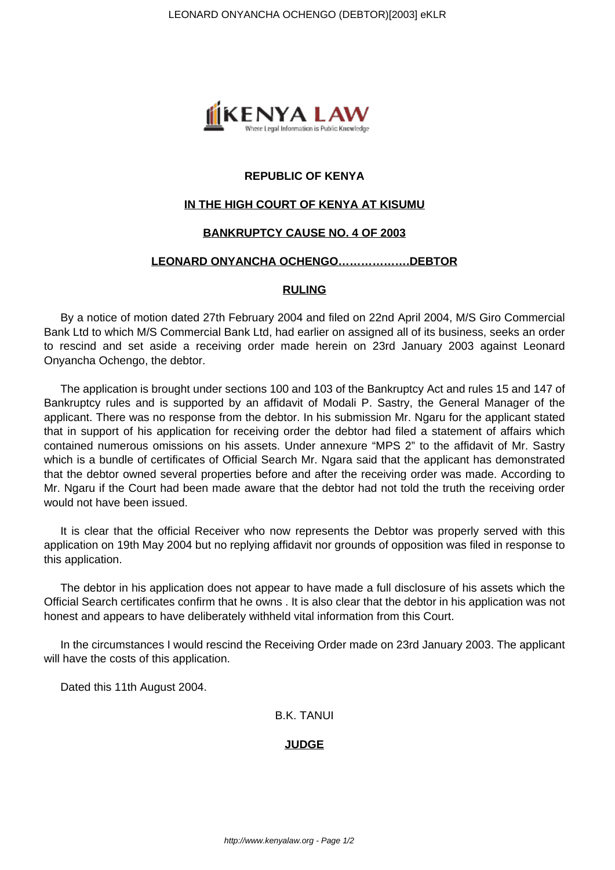

# **REPUBLIC OF KENYA**

# **IN THE HIGH COURT OF KENYA AT KISUMU**

## **BANKRUPTCY CAUSE NO. 4 OF 2003**

#### **LEONARD ONYANCHA OCHENGO……………….DEBTOR**

#### **RULING**

By a notice of motion dated 27th February 2004 and filed on 22nd April 2004, M/S Giro Commercial Bank Ltd to which M/S Commercial Bank Ltd, had earlier on assigned all of its business, seeks an order to rescind and set aside a receiving order made herein on 23rd January 2003 against Leonard Onyancha Ochengo, the debtor.

The application is brought under sections 100 and 103 of the Bankruptcy Act and rules 15 and 147 of Bankruptcy rules and is supported by an affidavit of Modali P. Sastry, the General Manager of the applicant. There was no response from the debtor. In his submission Mr. Ngaru for the applicant stated that in support of his application for receiving order the debtor had filed a statement of affairs which contained numerous omissions on his assets. Under annexure "MPS 2" to the affidavit of Mr. Sastry which is a bundle of certificates of Official Search Mr. Ngara said that the applicant has demonstrated that the debtor owned several properties before and after the receiving order was made. According to Mr. Ngaru if the Court had been made aware that the debtor had not told the truth the receiving order would not have been issued.

It is clear that the official Receiver who now represents the Debtor was properly served with this application on 19th May 2004 but no replying affidavit nor grounds of opposition was filed in response to this application.

The debtor in his application does not appear to have made a full disclosure of his assets which the Official Search certificates confirm that he owns . It is also clear that the debtor in his application was not honest and appears to have deliberately withheld vital information from this Court.

In the circumstances I would rescind the Receiving Order made on 23rd January 2003. The applicant will have the costs of this application.

Dated this 11th August 2004.

B.K. TANUI

#### **JUDGE**